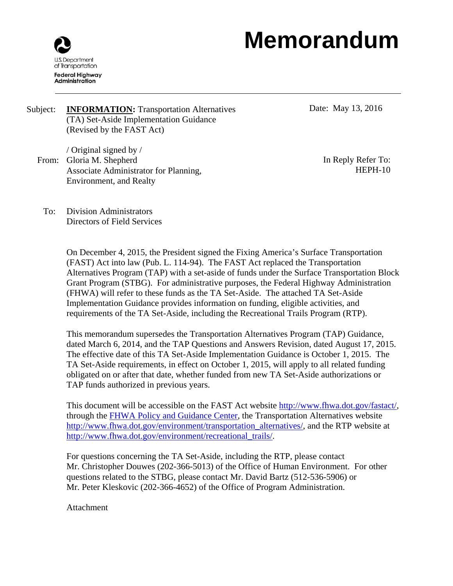# **Memorandum**



Subject: **INFORMATION:** Transportation Alternatives (TA) Set-Aside Implementation Guidance (Revised by the FAST Act)

/ Original signed by / From: Gloria M. Shepherd Associate Administrator for Planning, Environment, and Realty

Date: May 13, 2016

In Reply Refer To: HEPH-10

To: Division Administrators Directors of Field Services

> On December 4, 2015, the President signed the Fixing America's Surface Transportation (FAST) Act into law (Pub. L. 114-94). The FAST Act replaced the Transportation Alternatives Program (TAP) with a set-aside of funds under the Surface Transportation Block Grant Program (STBG). For administrative purposes, the Federal Highway Administration (FHWA) will refer to these funds as the TA Set-Aside. The attached TA Set-Aside Implementation Guidance provides information on funding, eligible activities, and requirements of the TA Set-Aside, including the Recreational Trails Program (RTP).

> This memorandum supersedes the Transportation Alternatives Program (TAP) Guidance, dated March 6, 2014, and the TAP Questions and Answers Revision, dated August 17, 2015. The effective date of this TA Set-Aside Implementation Guidance is October 1, 2015. The TA Set-Aside requirements, in effect on October 1, 2015, will apply to all related funding obligated on or after that date, whether funded from new TA Set-Aside authorizations or TAP funds authorized in previous years.

> This document will be accessible on the FAST Act website http://www.fhwa.dot.gov/fastact/, through the FHWA Policy and Guidance Center, the Transportation Alternatives website http://www.fhwa.dot.gov/environment/transportation\_alternatives/, and the RTP website at http://www.fhwa.dot.gov/environment/recreational\_trails/.

For questions concerning the TA Set-Aside, including the RTP, please contact Mr. Christopher Douwes (202-366-5013) of the Office of Human Environment. For other questions related to the STBG, please contact Mr. David Bartz (512-536-5906) or Mr. Peter Kleskovic (202-366-4652) of the Office of Program Administration.

Attachment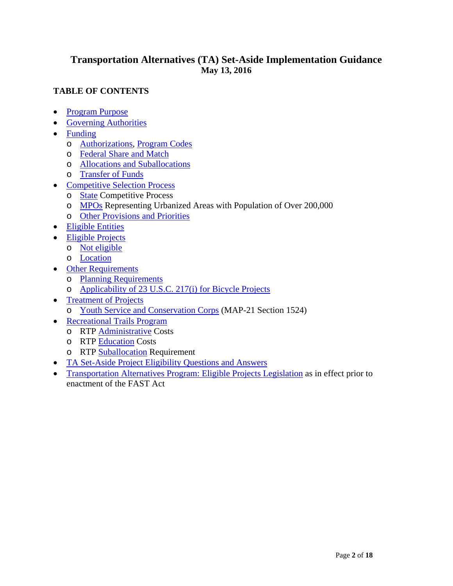# **Transportation Alternatives (TA) Set-Aside Implementation Guidance May 13, 2016**

# **TABLE OF CONTENTS**

- Program Purpose
- Governing Authorities
- Funding
	- o Authorizations, Program Codes
	- o Federal Share and Match
	- o Allocations and Suballocations
	- o Transfer of Funds
- Competitive Selection Process
	- o State Competitive Process
	- o MPOs Representing Urbanized Areas with Population of Over 200,000
	- o Other Provisions and Priorities
- Eligible Entities
- Eligible Projects
	- o Not eligible
	- o Location
- Other Requirements
	- o Planning Requirements
	- o Applicability of 23 U.S.C. 217(i) for Bicycle Projects
- Treatment of Projects
	- o Youth Service and Conservation Corps (MAP-21 Section 1524)
- Recreational Trails Program
	- o RTP Administrative Costs
	- o RTP Education Costs
	- o RTP Suballocation Requirement
- TA Set-Aside Project Eligibility Questions and Answers
- Transportation Alternatives Program: Eligible Projects Legislation as in effect prior to enactment of the FAST Act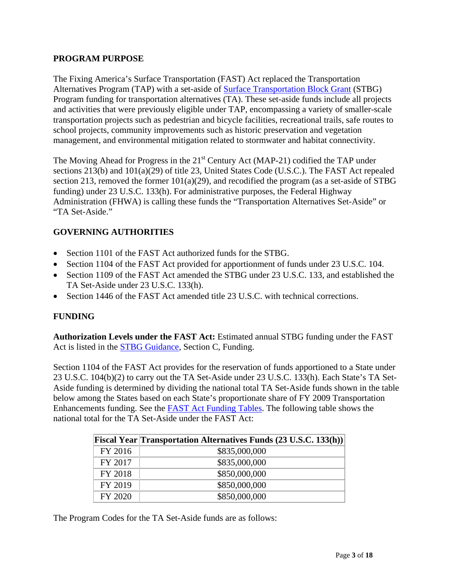## **PROGRAM PURPOSE**

The Fixing America's Surface Transportation (FAST) Act replaced the Transportation Alternatives Program (TAP) with a set-aside of **Surface Transportation Block Grant (STBG)** Program funding for transportation alternatives (TA). These set-aside funds include all projects and activities that were previously eligible under TAP, encompassing a variety of smaller-scale transportation projects such as pedestrian and bicycle facilities, recreational trails, safe routes to school projects, community improvements such as historic preservation and vegetation management, and environmental mitigation related to stormwater and habitat connectivity.

The Moving Ahead for Progress in the 21<sup>st</sup> Century Act (MAP-21) codified the TAP under sections 213(b) and 101(a)(29) of title 23, United States Code (U.S.C.). The FAST Act repealed section 213, removed the former 101(a)(29), and recodified the program (as a set-aside of STBG funding) under 23 U.S.C. 133(h). For administrative purposes, the Federal Highway Administration (FHWA) is calling these funds the "Transportation Alternatives Set-Aside" or "TA Set-Aside."

# **GOVERNING AUTHORITIES**

- Section 1101 of the FAST Act authorized funds for the STBG.
- Section 1104 of the FAST Act provided for apportionment of funds under 23 U.S.C. 104.
- Section 1109 of the FAST Act amended the STBG under 23 U.S.C. 133, and established the TA Set-Aside under 23 U.S.C. 133(h).
- Section 1446 of the FAST Act amended title 23 U.S.C. with technical corrections.

## **FUNDING**

**Authorization Levels under the FAST Act:** Estimated annual STBG funding under the FAST Act is listed in the STBG Guidance, Section C, Funding.

Section 1104 of the FAST Act provides for the reservation of funds apportioned to a State under 23 U.S.C. 104(b)(2) to carry out the TA Set-Aside under 23 U.S.C. 133(h). Each State's TA Set-Aside funding is determined by dividing the national total TA Set-Aside funds shown in the table below among the States based on each State's proportionate share of FY 2009 Transportation Enhancements funding. See the FAST Act Funding Tables. The following table shows the national total for the TA Set-Aside under the FAST Act:

|         | Fiscal Year Transportation Alternatives Funds (23 U.S.C. 133(h)) |
|---------|------------------------------------------------------------------|
| FY 2016 | \$835,000,000                                                    |
| FY 2017 | \$835,000,000                                                    |
| FY 2018 | \$850,000,000                                                    |
| FY 2019 | \$850,000,000                                                    |
| FY 2020 | \$850,000,000                                                    |

The Program Codes for the TA Set-Aside funds are as follows: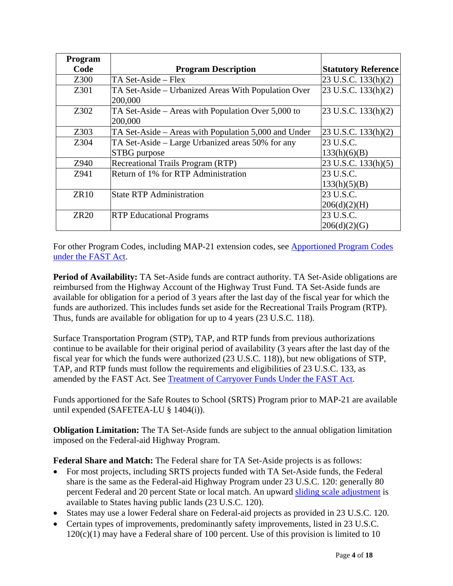| Program     |                                                      |                                           |
|-------------|------------------------------------------------------|-------------------------------------------|
| Code        | <b>Program Description</b>                           | <b>Statutory Reference</b>                |
| Z300        | TA Set-Aside – Flex                                  | $23$ U.S.C. 133(h)(2)                     |
| Z301        | TA Set-Aside – Urbanized Areas With Population Over  | $ 23 \text{ U.S.C. } 133 \text{ (h)}(2) $ |
|             | 200,000                                              |                                           |
| Z302        | TA Set-Aside – Areas with Population Over 5,000 to   | $23$ U.S.C. 133(h)(2)                     |
|             | 200,000                                              |                                           |
| Z303        | TA Set-Aside – Areas with Population 5,000 and Under | $23$ U.S.C. $133(h)(2)$                   |
| Z304        | TA Set-Aside – Large Urbanized areas 50% for any     | 23 U.S.C.                                 |
|             | STBG purpose                                         | 133(h)(6)(B)                              |
| Z940        | Recreational Trails Program (RTP)                    | $ 23 \text{ U.S.C. } 133 \text{ (h)}(5) $ |
| Z941        | Return of 1% for RTP Administration                  | 23 U.S.C.                                 |
|             |                                                      | 133(h)(5)(B)                              |
| <b>ZR10</b> | <b>State RTP Administration</b>                      | 23 U.S.C.                                 |
|             |                                                      | 206(d)(2)(H)                              |
| <b>ZR20</b> | <b>RTP</b> Educational Programs                      | 23 U.S.C.                                 |
|             |                                                      | 206(d)(2)(G)                              |

For other Program Codes, including MAP-21 extension codes, see Apportioned Program Codes under the FAST Act.

**Period of Availability:** TA Set-Aside funds are contract authority. TA Set-Aside obligations are reimbursed from the Highway Account of the Highway Trust Fund. TA Set-Aside funds are available for obligation for a period of 3 years after the last day of the fiscal year for which the funds are authorized. This includes funds set aside for the Recreational Trails Program (RTP). Thus, funds are available for obligation for up to 4 years (23 U.S.C. 118).

Surface Transportation Program (STP), TAP, and RTP funds from previous authorizations continue to be available for their original period of availability (3 years after the last day of the fiscal year for which the funds were authorized (23 U.S.C. 118)), but new obligations of STP, TAP, and RTP funds must follow the requirements and eligibilities of 23 U.S.C. 133, as amended by the FAST Act. See Treatment of Carryover Funds Under the FAST Act.

Funds apportioned for the Safe Routes to School (SRTS) Program prior to MAP-21 are available until expended (SAFETEA-LU § 1404(i)).

**Obligation Limitation:** The TA Set-Aside funds are subject to the annual obligation limitation imposed on the Federal-aid Highway Program.

**Federal Share and Match:** The Federal share for TA Set-Aside projects is as follows:

- For most projects, including SRTS projects funded with TA Set-Aside funds, the Federal share is the same as the Federal-aid Highway Program under 23 U.S.C. 120: generally 80 percent Federal and 20 percent State or local match. An upward sliding scale adjustment is available to States having public lands (23 U.S.C. 120).
- States may use a lower Federal share on Federal-aid projects as provided in 23 U.S.C. 120.
- Certain types of improvements, predominantly safety improvements, listed in 23 U.S.C.  $120(c)(1)$  may have a Federal share of 100 percent. Use of this provision is limited to 10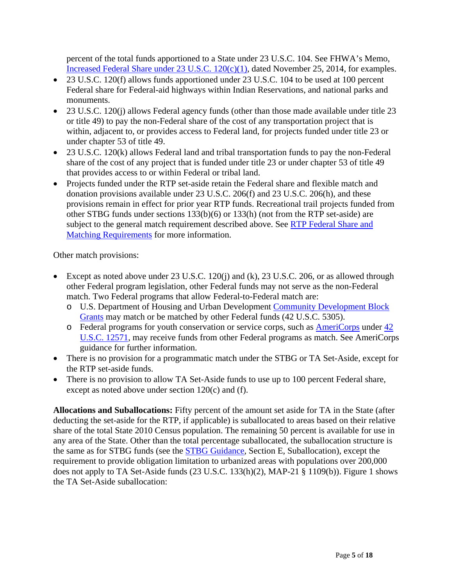percent of the total funds apportioned to a State under 23 U.S.C. 104. See FHWA's Memo, Increased Federal Share under 23 U.S.C. 120(c)(1), dated November 25, 2014, for examples.

- 23 U.S.C. 120(f) allows funds apportioned under 23 U.S.C. 104 to be used at 100 percent Federal share for Federal-aid highways within Indian Reservations, and national parks and monuments.
- 23 U.S.C. 120(j) allows Federal agency funds (other than those made available under title 23 or title 49) to pay the non-Federal share of the cost of any transportation project that is within, adjacent to, or provides access to Federal land, for projects funded under title 23 or under chapter 53 of title 49.
- 23 U.S.C. 120(k) allows Federal land and tribal transportation funds to pay the non-Federal share of the cost of any project that is funded under title 23 or under chapter 53 of title 49 that provides access to or within Federal or tribal land.
- Projects funded under the RTP set-aside retain the Federal share and flexible match and donation provisions available under 23 U.S.C. 206(f) and 23 U.S.C. 206(h), and these provisions remain in effect for prior year RTP funds. Recreational trail projects funded from other STBG funds under sections 133(b)(6) or 133(h) (not from the RTP set-aside) are subject to the general match requirement described above. See RTP Federal Share and **Matching Requirements** for more information.

Other match provisions:

- Except as noted above under 23 U.S.C. 120(j) and (k), 23 U.S.C. 206, or as allowed through other Federal program legislation, other Federal funds may not serve as the non-Federal match. Two Federal programs that allow Federal-to-Federal match are:
	- o U.S. Department of Housing and Urban Development Community Development Block Grants may match or be matched by other Federal funds (42 U.S.C. 5305).
	- o Federal programs for youth conservation or service corps, such as AmeriCorps under 42 U.S.C. 12571, may receive funds from other Federal programs as match. See AmeriCorps guidance for further information.
- There is no provision for a programmatic match under the STBG or TA Set-Aside, except for the RTP set-aside funds.
- There is no provision to allow TA Set-Aside funds to use up to 100 percent Federal share, except as noted above under section  $120(c)$  and (f).

**Allocations and Suballocations:** Fifty percent of the amount set aside for TA in the State (after deducting the set-aside for the RTP, if applicable) is suballocated to areas based on their relative share of the total State 2010 Census population. The remaining 50 percent is available for use in any area of the State. Other than the total percentage suballocated, the suballocation structure is the same as for STBG funds (see the STBG Guidance, Section E, Suballocation), except the requirement to provide obligation limitation to urbanized areas with populations over 200,000 does not apply to TA Set-Aside funds (23 U.S.C. 133(h)(2), MAP-21 § 1109(b)). Figure 1 shows the TA Set-Aside suballocation: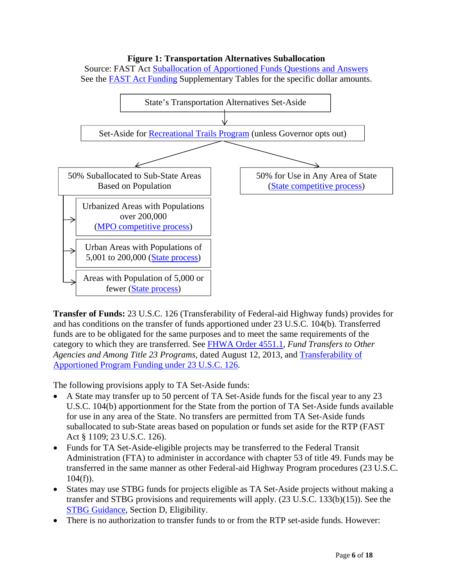#### **Figure 1: Transportation Alternatives Suballocation**

Source: FAST Act Suballocation of Apportioned Funds Questions and Answers See the FAST Act Funding Supplementary Tables for the specific dollar amounts.



**Transfer of Funds:** 23 U.S.C. 126 (Transferability of Federal-aid Highway funds) provides for and has conditions on the transfer of funds apportioned under 23 U.S.C. 104(b). Transferred funds are to be obligated for the same purposes and to meet the same requirements of the category to which they are transferred. See FHWA Order 4551.1, *Fund Transfers to Other Agencies and Among Title 23 Programs*, dated August 12, 2013, and Transferability of Apportioned Program Funding under 23 U.S.C. 126.

The following provisions apply to TA Set-Aside funds:

- A State may transfer up to 50 percent of TA Set-Aside funds for the fiscal year to any 23 U.S.C. 104(b) apportionment for the State from the portion of TA Set-Aside funds available for use in any area of the State. No transfers are permitted from TA Set-Aside funds suballocated to sub-State areas based on population or funds set aside for the RTP (FAST Act § 1109; 23 U.S.C. 126).
- Funds for TA Set-Aside-eligible projects may be transferred to the Federal Transit Administration (FTA) to administer in accordance with chapter 53 of title 49. Funds may be transferred in the same manner as other Federal-aid Highway Program procedures (23 U.S.C.  $104(f)$ ).
- States may use STBG funds for projects eligible as TA Set-Aside projects without making a transfer and STBG provisions and requirements will apply. (23 U.S.C. 133(b)(15)). See the STBG Guidance, Section D, Eligibility.
- There is no authorization to transfer funds to or from the RTP set-aside funds. However: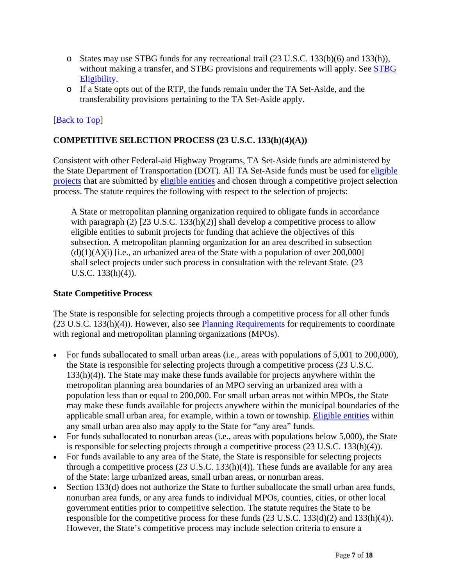- o States may use STBG funds for any recreational trail (23 U.S.C. 133(b)(6) and 133(h)), without making a transfer, and STBG provisions and requirements will apply. See STBG Eligibility.
- o If a State opts out of the RTP, the funds remain under the TA Set-Aside, and the transferability provisions pertaining to the TA Set-Aside apply.

# [Back to Top]

## **COMPETITIVE SELECTION PROCESS (23 U.S.C. 133(h)(4)(A))**

Consistent with other Federal-aid Highway Programs, TA Set-Aside funds are administered by the State Department of Transportation (DOT). All TA Set-Aside funds must be used for eligible projects that are submitted by eligible entities and chosen through a competitive project selection process. The statute requires the following with respect to the selection of projects:

A State or metropolitan planning organization required to obligate funds in accordance with paragraph (2) [23 U.S.C. 133(h)(2)] shall develop a competitive process to allow eligible entities to submit projects for funding that achieve the objectives of this subsection. A metropolitan planning organization for an area described in subsection  $(d)(1)(A)(i)$  [i.e., an urbanized area of the State with a population of over 200,000] shall select projects under such process in consultation with the relevant State. (23 U.S.C. 133(h)(4)).

#### **State Competitive Process**

The State is responsible for selecting projects through a competitive process for all other funds (23 U.S.C. 133(h)(4)). However, also see Planning Requirements for requirements to coordinate with regional and metropolitan planning organizations (MPOs).

- For funds suballocated to small urban areas (i.e., areas with populations of 5,001 to 200,000), the State is responsible for selecting projects through a competitive process (23 U.S.C. 133(h)(4)). The State may make these funds available for projects anywhere within the metropolitan planning area boundaries of an MPO serving an urbanized area with a population less than or equal to 200,000. For small urban areas not within MPOs, the State may make these funds available for projects anywhere within the municipal boundaries of the applicable small urban area, for example, within a town or township. Eligible entities within any small urban area also may apply to the State for "any area" funds.
- For funds suballocated to nonurban areas (i.e., areas with populations below 5,000), the State is responsible for selecting projects through a competitive process (23 U.S.C. 133(h)(4)).
- For funds available to any area of the State, the State is responsible for selecting projects through a competitive process (23 U.S.C. 133(h)(4)). These funds are available for any area of the State: large urbanized areas, small urban areas, or nonurban areas.
- Section 133(d) does not authorize the State to further suballocate the small urban area funds, nonurban area funds, or any area funds to individual MPOs, counties, cities, or other local government entities prior to competitive selection. The statute requires the State to be responsible for the competitive process for these funds  $(23 \text{ U.S.C. } 133\text{ (d)}(2)$  and  $133\text{ (h)}(4)$ ). However, the State's competitive process may include selection criteria to ensure a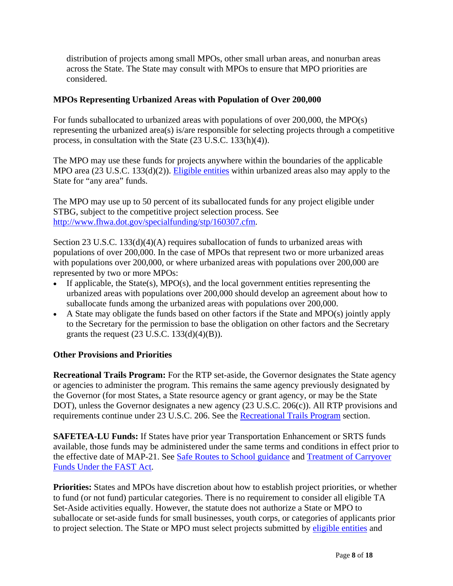distribution of projects among small MPOs, other small urban areas, and nonurban areas across the State. The State may consult with MPOs to ensure that MPO priorities are considered.

## **MPOs Representing Urbanized Areas with Population of Over 200,000**

For funds suballocated to urbanized areas with populations of over 200,000, the MPO(s) representing the urbanized area(s) is/are responsible for selecting projects through a competitive process, in consultation with the State (23 U.S.C. 133(h)(4)).

The MPO may use these funds for projects anywhere within the boundaries of the applicable MPO area (23 U.S.C. 133(d)(2)). Eligible entities within urbanized areas also may apply to the State for "any area" funds.

The MPO may use up to 50 percent of its suballocated funds for any project eligible under STBG, subject to the competitive project selection process. See http://www.fhwa.dot.gov/specialfunding/stp/160307.cfm.

Section 23 U.S.C. 133(d)(4)(A) requires suballocation of funds to urbanized areas with populations of over 200,000. In the case of MPOs that represent two or more urbanized areas with populations over 200,000, or where urbanized areas with populations over 200,000 are represented by two or more MPOs:

- If applicable, the State(s), MPO(s), and the local government entities representing the urbanized areas with populations over 200,000 should develop an agreement about how to suballocate funds among the urbanized areas with populations over 200,000.
- A State may obligate the funds based on other factors if the State and MPO(s) jointly apply to the Secretary for the permission to base the obligation on other factors and the Secretary grants the request  $(23 \text{ U.S.C. } 133(\text{d})(4)(\text{B}))$ .

## **Other Provisions and Priorities**

**Recreational Trails Program:** For the RTP set-aside, the Governor designates the State agency or agencies to administer the program. This remains the same agency previously designated by the Governor (for most States, a State resource agency or grant agency, or may be the State DOT), unless the Governor designates a new agency (23 U.S.C. 206(c)). All RTP provisions and requirements continue under 23 U.S.C. 206. See the Recreational Trails Program section.

**SAFETEA-LU Funds:** If States have prior year Transportation Enhancement or SRTS funds available, those funds may be administered under the same terms and conditions in effect prior to the effective date of MAP-21. See Safe Routes to School guidance and Treatment of Carryover Funds Under the FAST Act.

**Priorities:** States and MPOs have discretion about how to establish project priorities, or whether to fund (or not fund) particular categories. There is no requirement to consider all eligible TA Set-Aside activities equally. However, the statute does not authorize a State or MPO to suballocate or set-aside funds for small businesses, youth corps, or categories of applicants prior to project selection. The State or MPO must select projects submitted by eligible entities and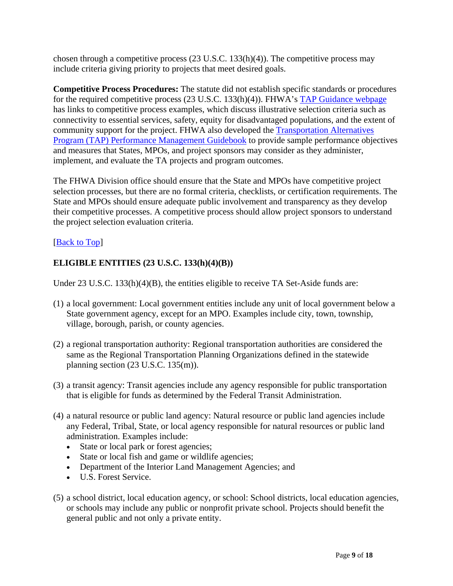chosen through a competitive process  $(23 \text{ U.S.C. } 133(h)(4))$ . The competitive process may include criteria giving priority to projects that meet desired goals.

**Competitive Process Procedures:** The statute did not establish specific standards or procedures for the required competitive process (23 U.S.C. 133(h)(4)). FHWA's TAP Guidance webpage has links to competitive process examples, which discuss illustrative selection criteria such as connectivity to essential services, safety, equity for disadvantaged populations, and the extent of community support for the project. FHWA also developed the Transportation Alternatives Program (TAP) Performance Management Guidebook to provide sample performance objectives and measures that States, MPOs, and project sponsors may consider as they administer, implement, and evaluate the TA projects and program outcomes.

The FHWA Division office should ensure that the State and MPOs have competitive project selection processes, but there are no formal criteria, checklists, or certification requirements. The State and MPOs should ensure adequate public involvement and transparency as they develop their competitive processes. A competitive process should allow project sponsors to understand the project selection evaluation criteria.

# [Back to Top]

# **ELIGIBLE ENTITIES (23 U.S.C. 133(h)(4)(B))**

Under 23 U.S.C.  $133(h)(4)(B)$ , the entities eligible to receive TA Set-Aside funds are:

- (1) a local government: Local government entities include any unit of local government below a State government agency, except for an MPO. Examples include city, town, township, village, borough, parish, or county agencies.
- (2) a regional transportation authority: Regional transportation authorities are considered the same as the Regional Transportation Planning Organizations defined in the statewide planning section (23 U.S.C. 135(m)).
- (3) a transit agency: Transit agencies include any agency responsible for public transportation that is eligible for funds as determined by the Federal Transit Administration.
- (4) a natural resource or public land agency: Natural resource or public land agencies include any Federal, Tribal, State, or local agency responsible for natural resources or public land administration. Examples include:
	- State or local park or forest agencies;
	- State or local fish and game or wildlife agencies;
	- Department of the Interior Land Management Agencies; and
	- U.S. Forest Service.
- (5) a school district, local education agency, or school: School districts, local education agencies, or schools may include any public or nonprofit private school. Projects should benefit the general public and not only a private entity.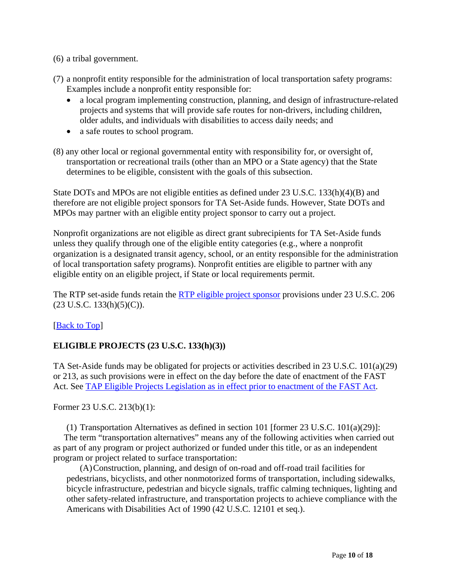- (6) a tribal government.
- (7) a nonprofit entity responsible for the administration of local transportation safety programs: Examples include a nonprofit entity responsible for:
	- a local program implementing construction, planning, and design of infrastructure-related projects and systems that will provide safe routes for non-drivers, including children, older adults, and individuals with disabilities to access daily needs; and
	- a safe routes to school program.
- (8) any other local or regional governmental entity with responsibility for, or oversight of, transportation or recreational trails (other than an MPO or a State agency) that the State determines to be eligible, consistent with the goals of this subsection.

State DOTs and MPOs are not eligible entities as defined under 23 U.S.C. 133(h)(4)(B) and therefore are not eligible project sponsors for TA Set-Aside funds. However, State DOTs and MPOs may partner with an eligible entity project sponsor to carry out a project.

Nonprofit organizations are not eligible as direct grant subrecipients for TA Set-Aside funds unless they qualify through one of the eligible entity categories (e.g., where a nonprofit organization is a designated transit agency, school, or an entity responsible for the administration of local transportation safety programs). Nonprofit entities are eligible to partner with any eligible entity on an eligible project, if State or local requirements permit.

The RTP set-aside funds retain the **RTP** eligible project sponsor provisions under 23 U.S.C. 206  $(23 \text{ U.S.C. } 133(\text{h})(5)(\text{C}))$ .

## [Back to Top]

# **ELIGIBLE PROJECTS (23 U.S.C. 133(h)(3))**

TA Set-Aside funds may be obligated for projects or activities described in 23 U.S.C. 101(a)(29) or 213, as such provisions were in effect on the day before the date of enactment of the FAST Act. See TAP Eligible Projects Legislation as in effect prior to enactment of the FAST Act.

Former 23 U.S.C. 213(b)(1):

(1) Transportation Alternatives as defined in section 101 [former 23 U.S.C. 101(a)(29)]:

The term "transportation alternatives" means any of the following activities when carried out as part of any program or project authorized or funded under this title, or as an independent program or project related to surface transportation:

(A)Construction, planning, and design of on-road and off-road trail facilities for pedestrians, bicyclists, and other nonmotorized forms of transportation, including sidewalks, bicycle infrastructure, pedestrian and bicycle signals, traffic calming techniques, lighting and other safety-related infrastructure, and transportation projects to achieve compliance with the Americans with Disabilities Act of 1990 (42 U.S.C. 12101 et seq.).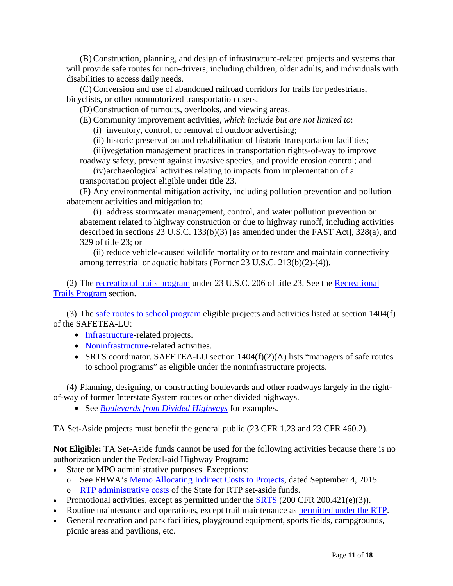(B) Construction, planning, and design of infrastructure-related projects and systems that will provide safe routes for non-drivers, including children, older adults, and individuals with disabilities to access daily needs.

(C) Conversion and use of abandoned railroad corridors for trails for pedestrians, bicyclists, or other nonmotorized transportation users.

(D)Construction of turnouts, overlooks, and viewing areas.

(E) Community improvement activities, *which include but are not limited to*:

(i) inventory, control, or removal of outdoor advertising;

(ii) historic preservation and rehabilitation of historic transportation facilities;

(iii)vegetation management practices in transportation rights-of-way to improve roadway safety, prevent against invasive species, and provide erosion control; and

(iv)archaeological activities relating to impacts from implementation of a transportation project eligible under title 23.

(F) Any environmental mitigation activity, including pollution prevention and pollution abatement activities and mitigation to:

(i) address stormwater management, control, and water pollution prevention or abatement related to highway construction or due to highway runoff, including activities described in sections 23 U.S.C. 133(b)(3) [as amended under the FAST Act], 328(a), and 329 of title 23; or

(ii) reduce vehicle-caused wildlife mortality or to restore and maintain connectivity among terrestrial or aquatic habitats (Former 23 U.S.C. 213(b)(2)-(4)).

(2) The recreational trails program under 23 U.S.C. 206 of title 23. See the Recreational Trails Program section.

(3) The safe routes to school program eligible projects and activities listed at section 1404(f) of the SAFETEA-LU:

- Infrastructure-related projects.
- Noninfrastructure-related activities.
- SRTS coordinator. SAFETEA-LU section  $1404(f)(2)(A)$  lists "managers of safe routes" to school programs" as eligible under the noninfrastructure projects.

(4) Planning, designing, or constructing boulevards and other roadways largely in the rightof-way of former Interstate System routes or other divided highways.

See *Boulevards from Divided Highways* for examples.

TA Set-Aside projects must benefit the general public (23 CFR 1.23 and 23 CFR 460.2).

**Not Eligible:** TA Set-Aside funds cannot be used for the following activities because there is no authorization under the Federal-aid Highway Program:

- State or MPO administrative purposes. Exceptions:
	- o See FHWA's Memo Allocating Indirect Costs to Projects, dated September 4, 2015. o RTP administrative costs of the State for RTP set-aside funds.
- Promotional activities, except as permitted under the  $SRTS$  (200 CFR 200.421(e)(3)).
- Routine maintenance and operations, except trail maintenance as permitted under the RTP.
- General recreation and park facilities, playground equipment, sports fields, campgrounds, picnic areas and pavilions, etc.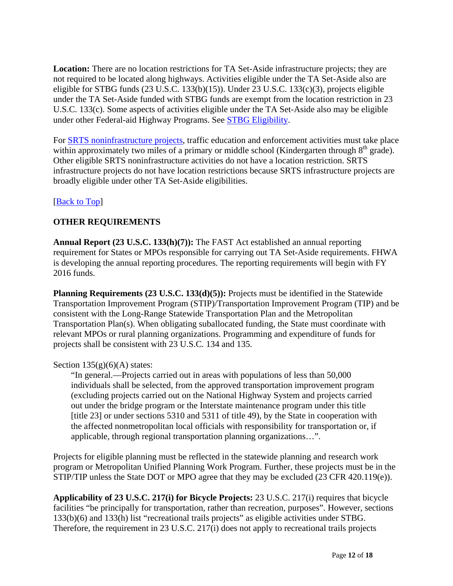**Location:** There are no location restrictions for TA Set-Aside infrastructure projects; they are not required to be located along highways. Activities eligible under the TA Set-Aside also are eligible for STBG funds (23 U.S.C. 133(b)(15)). Under 23 U.S.C. 133(c)(3), projects eligible under the TA Set-Aside funded with STBG funds are exempt from the location restriction in 23 U.S.C. 133(c). Some aspects of activities eligible under the TA Set-Aside also may be eligible under other Federal-aid Highway Programs. See STBG Eligibility.

For SRTS noninfrastructure projects, traffic education and enforcement activities must take place within approximately two miles of a primary or middle school (Kindergarten through  $8<sup>th</sup>$  grade). Other eligible SRTS noninfrastructure activities do not have a location restriction. SRTS infrastructure projects do not have location restrictions because SRTS infrastructure projects are broadly eligible under other TA Set-Aside eligibilities.

# [Back to Top]

# **OTHER REQUIREMENTS**

**Annual Report (23 U.S.C. 133(h)(7)):** The FAST Act established an annual reporting requirement for States or MPOs responsible for carrying out TA Set-Aside requirements. FHWA is developing the annual reporting procedures. The reporting requirements will begin with FY 2016 funds.

**Planning Requirements (23 U.S.C. 133(d)(5)):** Projects must be identified in the Statewide Transportation Improvement Program (STIP)/Transportation Improvement Program (TIP) and be consistent with the Long-Range Statewide Transportation Plan and the Metropolitan Transportation Plan(s). When obligating suballocated funding, the State must coordinate with relevant MPOs or rural planning organizations. Programming and expenditure of funds for projects shall be consistent with 23 U.S.C. 134 and 135.

## Section  $135(g)(6)(A)$  states:

"In general.—Projects carried out in areas with populations of less than 50,000 individuals shall be selected, from the approved transportation improvement program (excluding projects carried out on the National Highway System and projects carried out under the bridge program or the Interstate maintenance program under this title [title 23] or under sections 5310 and 5311 of title 49), by the State in cooperation with the affected nonmetropolitan local officials with responsibility for transportation or, if applicable, through regional transportation planning organizations…".

Projects for eligible planning must be reflected in the statewide planning and research work program or Metropolitan Unified Planning Work Program. Further, these projects must be in the STIP/TIP unless the State DOT or MPO agree that they may be excluded (23 CFR 420.119(e)).

**Applicability of 23 U.S.C. 217(i) for Bicycle Projects:** 23 U.S.C. 217(i) requires that bicycle facilities "be principally for transportation, rather than recreation, purposes". However, sections 133(b)(6) and 133(h) list "recreational trails projects" as eligible activities under STBG. Therefore, the requirement in 23 U.S.C. 217(i) does not apply to recreational trails projects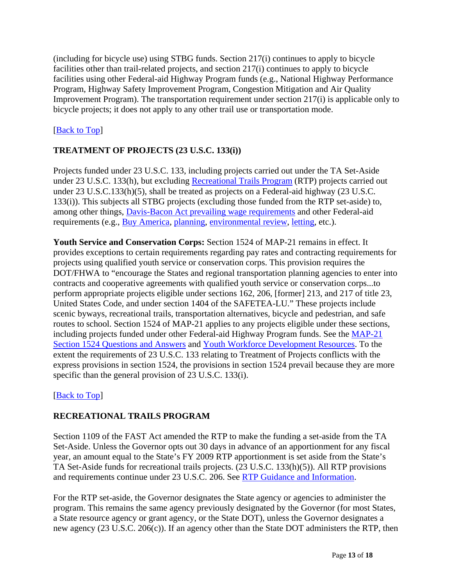(including for bicycle use) using STBG funds. Section 217(i) continues to apply to bicycle facilities other than trail-related projects, and section 217(i) continues to apply to bicycle facilities using other Federal-aid Highway Program funds (e.g., National Highway Performance Program, Highway Safety Improvement Program, Congestion Mitigation and Air Quality Improvement Program). The transportation requirement under section 217(i) is applicable only to bicycle projects; it does not apply to any other trail use or transportation mode.

# [Back to Top]

# **TREATMENT OF PROJECTS (23 U.S.C. 133(i))**

Projects funded under 23 U.S.C. 133, including projects carried out under the TA Set-Aside under 23 U.S.C. 133(h), but excluding Recreational Trails Program (RTP) projects carried out under 23 U.S.C.133(h)(5), shall be treated as projects on a Federal-aid highway (23 U.S.C. 133(i)). This subjects all STBG projects (excluding those funded from the RTP set-aside) to, among other things, Davis-Bacon Act prevailing wage requirements and other Federal-aid requirements (e.g., Buy America, planning, environmental review, letting, etc.).

**Youth Service and Conservation Corps:** Section 1524 of MAP-21 remains in effect. It provides exceptions to certain requirements regarding pay rates and contracting requirements for projects using qualified youth service or conservation corps. This provision requires the DOT/FHWA to "encourage the States and regional transportation planning agencies to enter into contracts and cooperative agreements with qualified youth service or conservation corps...to perform appropriate projects eligible under sections 162, 206, [former] 213, and 217 of title 23, United States Code, and under section 1404 of the SAFETEA-LU." These projects include scenic byways, recreational trails, transportation alternatives, bicycle and pedestrian, and safe routes to school. Section 1524 of MAP-21 applies to any projects eligible under these sections, including projects funded under other Federal-aid Highway Program funds. See the MAP-21 Section 1524 Questions and Answers and Youth Workforce Development Resources. To the extent the requirements of 23 U.S.C. 133 relating to Treatment of Projects conflicts with the express provisions in section 1524, the provisions in section 1524 prevail because they are more specific than the general provision of 23 U.S.C. 133(i).

## [Back to Top]

# **RECREATIONAL TRAILS PROGRAM**

Section 1109 of the FAST Act amended the RTP to make the funding a set-aside from the TA Set-Aside. Unless the Governor opts out 30 days in advance of an apportionment for any fiscal year, an amount equal to the State's FY 2009 RTP apportionment is set aside from the State's TA Set-Aside funds for recreational trails projects. (23 U.S.C. 133(h)(5)). All RTP provisions and requirements continue under 23 U.S.C. 206. See RTP Guidance and Information.

For the RTP set-aside, the Governor designates the State agency or agencies to administer the program. This remains the same agency previously designated by the Governor (for most States, a State resource agency or grant agency, or the State DOT), unless the Governor designates a new agency (23 U.S.C. 206(c)). If an agency other than the State DOT administers the RTP, then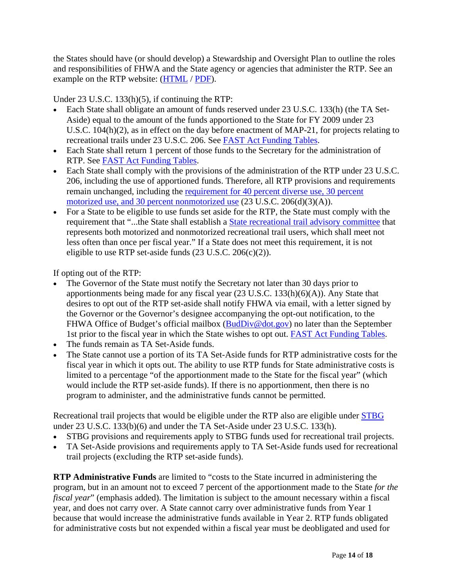the States should have (or should develop) a Stewardship and Oversight Plan to outline the roles and responsibilities of FHWA and the State agency or agencies that administer the RTP. See an example on the RTP website: (HTML / PDF).

Under 23 U.S.C. 133(h)(5), if continuing the RTP:

- Each State shall obligate an amount of funds reserved under 23 U.S.C. 133(h) (the TA Set-Aside) equal to the amount of the funds apportioned to the State for FY 2009 under 23 U.S.C. 104(h)(2), as in effect on the day before enactment of MAP-21, for projects relating to recreational trails under 23 U.S.C. 206. See FAST Act Funding Tables.
- Each State shall return 1 percent of those funds to the Secretary for the administration of RTP. See FAST Act Funding Tables.
- Each State shall comply with the provisions of the administration of the RTP under 23 U.S.C. 206, including the use of apportioned funds. Therefore, all RTP provisions and requirements remain unchanged, including the requirement for 40 percent diverse use, 30 percent motorized use, and 30 percent nonmotorized use  $(23 \text{ U.S.C. } 206(d)(3)(\text{A})).$
- For a State to be eligible to use funds set aside for the RTP, the State must comply with the requirement that "...the State shall establish a State recreational trail advisory committee that represents both motorized and nonmotorized recreational trail users, which shall meet not less often than once per fiscal year." If a State does not meet this requirement, it is not eligible to use RTP set-aside funds  $(23 \text{ U.S.C. } 206(c)(2))$ .

If opting out of the RTP:

- The Governor of the State must notify the Secretary not later than 30 days prior to apportionments being made for any fiscal year (23 U.S.C. 133(h)(6)(A)). Any State that desires to opt out of the RTP set-aside shall notify FHWA via email, with a letter signed by the Governor or the Governor's designee accompanying the opt-out notification, to the FHWA Office of Budget's official mailbox (BudDiv@dot.gov) no later than the September 1st prior to the fiscal year in which the State wishes to opt out. FAST Act Funding Tables.
- The funds remain as TA Set-Aside funds.
- The State cannot use a portion of its TA Set-Aside funds for RTP administrative costs for the fiscal year in which it opts out. The ability to use RTP funds for State administrative costs is limited to a percentage "of the apportionment made to the State for the fiscal year" (which would include the RTP set-aside funds). If there is no apportionment, then there is no program to administer, and the administrative funds cannot be permitted.

Recreational trail projects that would be eligible under the RTP also are eligible under STBG under 23 U.S.C. 133(b)(6) and under the TA Set-Aside under 23 U.S.C. 133(h).

- STBG provisions and requirements apply to STBG funds used for recreational trail projects.
- TA Set-Aside provisions and requirements apply to TA Set-Aside funds used for recreational trail projects (excluding the RTP set-aside funds).

**RTP Administrative Funds** are limited to "costs to the State incurred in administering the program, but in an amount not to exceed 7 percent of the apportionment made to the State *for the fiscal year*" (emphasis added). The limitation is subject to the amount necessary within a fiscal year, and does not carry over. A State cannot carry over administrative funds from Year 1 because that would increase the administrative funds available in Year 2. RTP funds obligated for administrative costs but not expended within a fiscal year must be deobligated and used for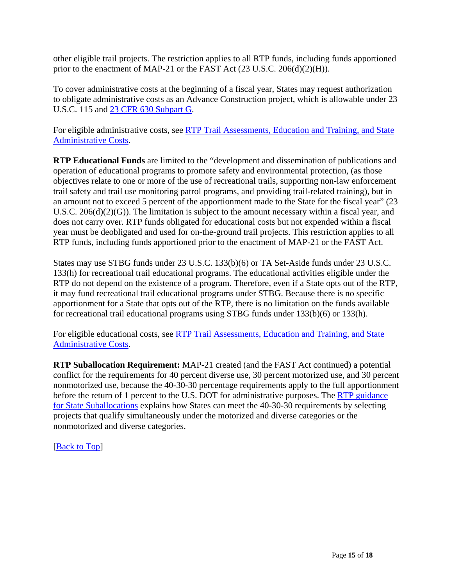other eligible trail projects. The restriction applies to all RTP funds, including funds apportioned prior to the enactment of MAP-21 or the FAST Act (23 U.S.C. 206(d)(2)(H)).

To cover administrative costs at the beginning of a fiscal year, States may request authorization to obligate administrative costs as an Advance Construction project, which is allowable under 23 U.S.C. 115 and 23 CFR 630 Subpart G.

For eligible administrative costs, see RTP Trail Assessments, Education and Training, and State Administrative Costs.

**RTP Educational Funds** are limited to the "development and dissemination of publications and operation of educational programs to promote safety and environmental protection, (as those objectives relate to one or more of the use of recreational trails, supporting non-law enforcement trail safety and trail use monitoring patrol programs, and providing trail-related training), but in an amount not to exceed 5 percent of the apportionment made to the State for the fiscal year" (23 U.S.C. 206(d)(2)(G)). The limitation is subject to the amount necessary within a fiscal year, and does not carry over. RTP funds obligated for educational costs but not expended within a fiscal year must be deobligated and used for on-the-ground trail projects. This restriction applies to all RTP funds, including funds apportioned prior to the enactment of MAP-21 or the FAST Act.

States may use STBG funds under 23 U.S.C. 133(b)(6) or TA Set-Aside funds under 23 U.S.C. 133(h) for recreational trail educational programs. The educational activities eligible under the RTP do not depend on the existence of a program. Therefore, even if a State opts out of the RTP, it may fund recreational trail educational programs under STBG. Because there is no specific apportionment for a State that opts out of the RTP, there is no limitation on the funds available for recreational trail educational programs using STBG funds under 133(b)(6) or 133(h).

For eligible educational costs, see RTP Trail Assessments, Education and Training, and State Administrative Costs.

**RTP Suballocation Requirement:** MAP-21 created (and the FAST Act continued) a potential conflict for the requirements for 40 percent diverse use, 30 percent motorized use, and 30 percent nonmotorized use, because the 40-30-30 percentage requirements apply to the full apportionment before the return of 1 percent to the U.S. DOT for administrative purposes. The RTP guidance for State Suballocations explains how States can meet the 40-30-30 requirements by selecting projects that qualify simultaneously under the motorized and diverse categories or the nonmotorized and diverse categories.

[Back to Top]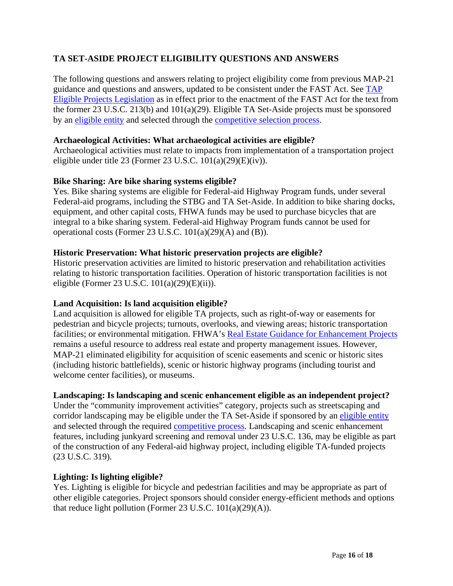# **TA SET-ASIDE PROJECT ELIGIBILITY QUESTIONS AND ANSWERS**

The following questions and answers relating to project eligibility come from previous MAP-21 guidance and questions and answers, updated to be consistent under the FAST Act. See TAP Eligible Projects Legislation as in effect prior to the enactment of the FAST Act for the text from the former 23 U.S.C. 213(b) and 101(a)(29). Eligible TA Set-Aside projects must be sponsored by an eligible entity and selected through the competitive selection process.

#### **Archaeological Activities: What archaeological activities are eligible?**

Archaeological activities must relate to impacts from implementation of a transportation project eligible under title 23 (Former 23 U.S.C. 101(a)(29)(E)(iv)).

## **Bike Sharing: Are bike sharing systems eligible?**

Yes. Bike sharing systems are eligible for Federal-aid Highway Program funds, under several Federal-aid programs, including the STBG and TA Set-Aside. In addition to bike sharing docks, equipment, and other capital costs, FHWA funds may be used to purchase bicycles that are integral to a bike sharing system. Federal-aid Highway Program funds cannot be used for operational costs (Former 23 U.S.C. 101(a)(29)(A) and (B)).

#### **Historic Preservation: What historic preservation projects are eligible?**

Historic preservation activities are limited to historic preservation and rehabilitation activities relating to historic transportation facilities. Operation of historic transportation facilities is not eligible (Former 23 U.S.C. 101(a)(29)(E)(ii)).

#### **Land Acquisition: Is land acquisition eligible?**

Land acquisition is allowed for eligible TA projects, such as right-of-way or easements for pedestrian and bicycle projects; turnouts, overlooks, and viewing areas; historic transportation facilities; or environmental mitigation. FHWA's Real Estate Guidance for Enhancement Projects remains a useful resource to address real estate and property management issues. However, MAP-21 eliminated eligibility for acquisition of scenic easements and scenic or historic sites (including historic battlefields), scenic or historic highway programs (including tourist and welcome center facilities), or museums.

## **Landscaping: Is landscaping and scenic enhancement eligible as an independent project?**

Under the "community improvement activities" category, projects such as streetscaping and corridor landscaping may be eligible under the TA Set-Aside if sponsored by an eligible entity and selected through the required competitive process. Landscaping and scenic enhancement features, including junkyard screening and removal under 23 U.S.C. 136, may be eligible as part of the construction of any Federal-aid highway project, including eligible TA-funded projects (23 U.S.C. 319).

#### **Lighting: Is lighting eligible?**

Yes. Lighting is eligible for bicycle and pedestrian facilities and may be appropriate as part of other eligible categories. Project sponsors should consider energy-efficient methods and options that reduce light pollution (Former 23 U.S.C. 101(a)(29)(A)).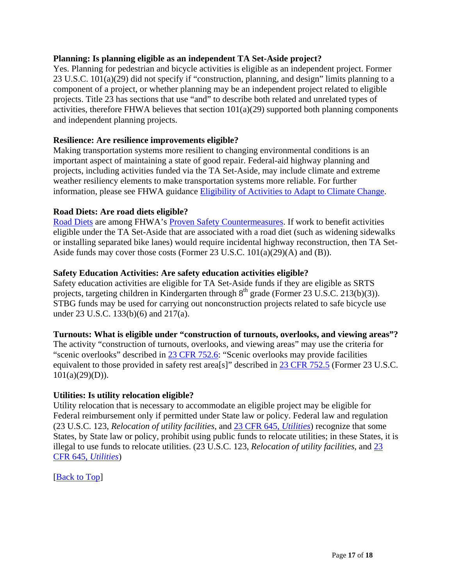#### **Planning: Is planning eligible as an independent TA Set-Aside project?**

Yes. Planning for pedestrian and bicycle activities is eligible as an independent project. Former 23 U.S.C. 101(a)(29) did not specify if "construction, planning, and design" limits planning to a component of a project, or whether planning may be an independent project related to eligible projects. Title 23 has sections that use "and" to describe both related and unrelated types of activities, therefore FHWA believes that section  $101(a)(29)$  supported both planning components and independent planning projects.

#### **Resilience: Are resilience improvements eligible?**

Making transportation systems more resilient to changing environmental conditions is an important aspect of maintaining a state of good repair. Federal-aid highway planning and projects, including activities funded via the TA Set-Aside, may include climate and extreme weather resiliency elements to make transportation systems more reliable. For further information, please see FHWA guidance **Eligibility of Activities to Adapt to Climate Change**.

#### **Road Diets: Are road diets eligible?**

Road Diets are among FHWA's Proven Safety Countermeasures. If work to benefit activities eligible under the TA Set-Aside that are associated with a road diet (such as widening sidewalks or installing separated bike lanes) would require incidental highway reconstruction, then TA Set-Aside funds may cover those costs (Former 23 U.S.C. 101(a)(29)(A) and (B)).

#### **Safety Education Activities: Are safety education activities eligible?**

Safety education activities are eligible for TA Set-Aside funds if they are eligible as SRTS projects, targeting children in Kindergarten through  $8<sup>th</sup>$  grade (Former 23 U.S.C. 213(b)(3)). STBG funds may be used for carrying out nonconstruction projects related to safe bicycle use under 23 U.S.C. 133(b)(6) and 217(a).

#### **Turnouts: What is eligible under "construction of turnouts, overlooks, and viewing areas"?**

The activity "construction of turnouts, overlooks, and viewing areas" may use the criteria for "scenic overlooks" described in 23 CFR 752.6: "Scenic overlooks may provide facilities equivalent to those provided in safety rest area[s]" described in 23 CFR 752.5 (Former 23 U.S.C.  $101(a)(29)(D)$ ).

#### **Utilities: Is utility relocation eligible?**

Utility relocation that is necessary to accommodate an eligible project may be eligible for Federal reimbursement only if permitted under State law or policy. Federal law and regulation (23 U.S.C. 123, *Relocation of utility facilities*, and 23 CFR 645, *Utilities*) recognize that some States, by State law or policy, prohibit using public funds to relocate utilities; in these States, it is illegal to use funds to relocate utilities. (23 U.S.C. 123, *Relocation of utility facilities*, and 23 CFR 645, *Utilities*)

[Back to Top]